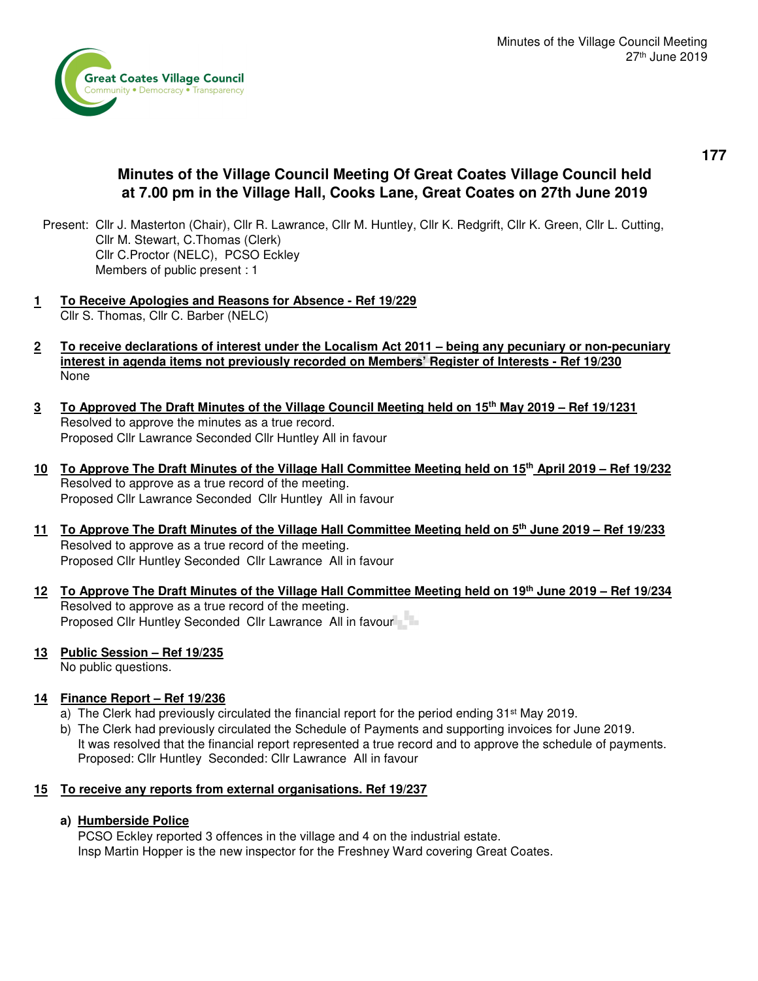

# **Minutes of the Village Council Meeting Of Great Coates Village Council held at 7.00 pm in the Village Hall, Cooks Lane, Great Coates on 27th June 2019**

- Present: Cllr J. Masterton (Chair), Cllr R. Lawrance, Cllr M. Huntley, Cllr K. Redgrift, Cllr K. Green, Cllr L. Cutting, Cllr M. Stewart, C.Thomas (Clerk) Cllr C.Proctor (NELC), PCSO Eckley Members of public present : 1
- **1 To Receive Apologies and Reasons for Absence Ref 19/229**  Cllr S. Thomas, Cllr C. Barber (NELC)
- **2 To receive declarations of interest under the Localism Act 2011 being any pecuniary or non-pecuniary interest in agenda items not previously recorded on Members' Register of Interests - Ref 19/230** None
- **3 To Approved The Draft Minutes of the Village Council Meeting held on 15th May 2019 Ref 19/1231** Resolved to approve the minutes as a true record. Proposed Cllr Lawrance Seconded Cllr Huntley All in favour
- **10 To Approve The Draft Minutes of the Village Hall Committee Meeting held on 15th April 2019 Ref 19/232**  Resolved to approve as a true record of the meeting. Proposed Cllr Lawrance Seconded Cllr Huntley All in favour
- **11 To Approve The Draft Minutes of the Village Hall Committee Meeting held on 5th June 2019 Ref 19/233** Resolved to approve as a true record of the meeting. Proposed Cllr Huntley Seconded Cllr Lawrance All in favour
- **12 To Approve The Draft Minutes of the Village Hall Committee Meeting held on 19th June 2019 Ref 19/234**  Resolved to approve as a true record of the meeting. Proposed Cllr Huntley Seconded Cllr Lawrance All in favour

#### **13 Public Session – Ref 19/235**

No public questions.

# **14 Finance Report – Ref 19/236**

- a) The Clerk had previously circulated the financial report for the period ending 31<sup>st</sup> May 2019.
- b) The Clerk had previously circulated the Schedule of Payments and supporting invoices for June 2019. It was resolved that the financial report represented a true record and to approve the schedule of payments. Proposed: Cllr Huntley Seconded: Cllr Lawrance All in favour

# **15 To receive any reports from external organisations. Ref 19/237**

# **a) Humberside Police**

 PCSO Eckley reported 3 offences in the village and 4 on the industrial estate. Insp Martin Hopper is the new inspector for the Freshney Ward covering Great Coates.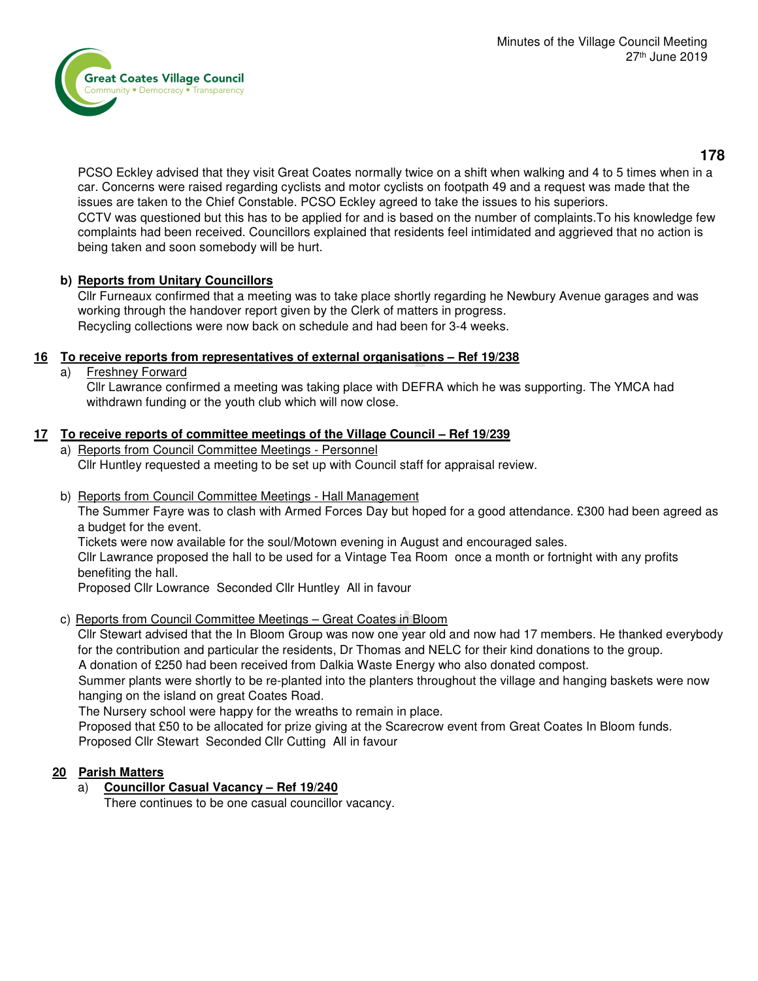

 PCSO Eckley advised that they visit Great Coates normally twice on a shift when walking and 4 to 5 times when in a car. Concerns were raised regarding cyclists and motor cyclists on footpath 49 and a request was made that the issues are taken to the Chief Constable. PCSO Eckley agreed to take the issues to his superiors. CCTV was questioned but this has to be applied for and is based on the number of complaints.To his knowledge few complaints had been received. Councillors explained that residents feel intimidated and aggrieved that no action is being taken and soon somebody will be hurt.

## **b) Reports from Unitary Councillors**

 Cllr Furneaux confirmed that a meeting was to take place shortly regarding he Newbury Avenue garages and was working through the handover report given by the Clerk of matters in progress. Recycling collections were now back on schedule and had been for 3-4 weeks.

## **16 To receive reports from representatives of external organisations – Ref 19/238**

a) Freshney Forward

 Cllr Lawrance confirmed a meeting was taking place with DEFRA which he was supporting. The YMCA had withdrawn funding or the youth club which will now close.

## **17 To receive reports of committee meetings of the Village Council – Ref 19/239**

- a) Reports from Council Committee Meetings Personnel Cllr Huntley requested a meeting to be set up with Council staff for appraisal review.
- b) Reports from Council Committee Meetings Hall Management

The Summer Fayre was to clash with Armed Forces Day but hoped for a good attendance. £300 had been agreed as a budget for the event.

Tickets were now available for the soul/Motown evening in August and encouraged sales.

 Cllr Lawrance proposed the hall to be used for a Vintage Tea Room once a month or fortnight with any profits benefiting the hall.

Proposed Cllr Lowrance Seconded Cllr Huntley All in favour

#### c) Reports from Council Committee Meetings – Great Coates in Bloom

 Cllr Stewart advised that the In Bloom Group was now one year old and now had 17 members. He thanked everybody for the contribution and particular the residents, Dr Thomas and NELC for their kind donations to the group.

A donation of £250 had been received from Dalkia Waste Energy who also donated compost.

 Summer plants were shortly to be re-planted into the planters throughout the village and hanging baskets were now hanging on the island on great Coates Road.

The Nursery school were happy for the wreaths to remain in place.

Proposed that £50 to be allocated for prize giving at the Scarecrow event from Great Coates In Bloom funds. Proposed Cllr Stewart Seconded Cllr Cutting All in favour

#### **20 Parish Matters**

a) **Councillor Casual Vacancy – Ref 19/240**

There continues to be one casual councillor vacancy.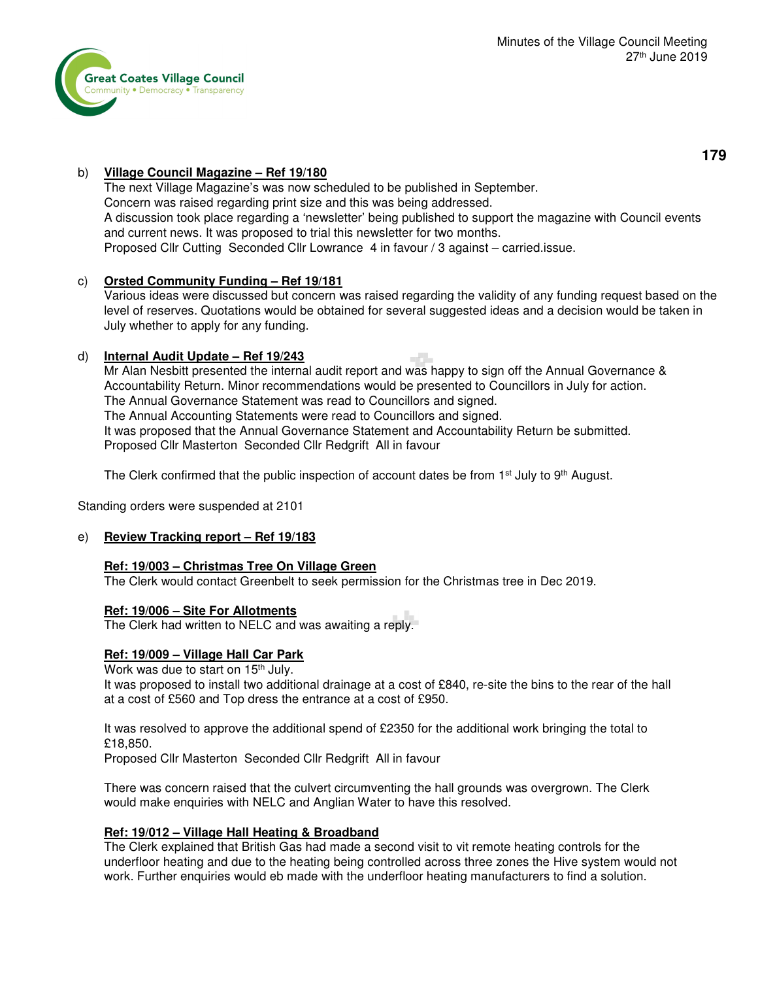

# b) **Village Council Magazine – Ref 19/180**

 The next Village Magazine's was now scheduled to be published in September. Concern was raised regarding print size and this was being addressed. A discussion took place regarding a 'newsletter' being published to support the magazine with Council events and current news. It was proposed to trial this newsletter for two months. Proposed Cllr Cutting Seconded Cllr Lowrance 4 in favour / 3 against – carried.issue.

## c) **Orsted Community Funding – Ref 19/181**

 Various ideas were discussed but concern was raised regarding the validity of any funding request based on the level of reserves. Quotations would be obtained for several suggested ideas and a decision would be taken in July whether to apply for any funding.

## d) **Internal Audit Update – Ref 19/243**

Mr Alan Nesbitt presented the internal audit report and was happy to sign off the Annual Governance & Accountability Return. Minor recommendations would be presented to Councillors in July for action. The Annual Governance Statement was read to Councillors and signed. The Annual Accounting Statements were read to Councillors and signed. It was proposed that the Annual Governance Statement and Accountability Return be submitted. Proposed Cllr Masterton Seconded Cllr Redgrift All in favour

The Clerk confirmed that the public inspection of account dates be from  $1<sup>st</sup>$  July to 9<sup>th</sup> August.

Standing orders were suspended at 2101

#### e) **Review Tracking report – Ref 19/183**

#### **Ref: 19/003 – Christmas Tree On Village Green**

The Clerk would contact Greenbelt to seek permission for the Christmas tree in Dec 2019.

#### **Ref: 19/006 – Site For Allotments**

The Clerk had written to NELC and was awaiting a reply.

#### **Ref: 19/009 – Village Hall Car Park**

Work was due to start on 15<sup>th</sup> July.

 It was proposed to install two additional drainage at a cost of £840, re-site the bins to the rear of the hall at a cost of £560 and Top dress the entrance at a cost of £950.

 It was resolved to approve the additional spend of £2350 for the additional work bringing the total to £18,850.

Proposed Cllr Masterton Seconded Cllr Redgrift All in favour

 There was concern raised that the culvert circumventing the hall grounds was overgrown. The Clerk would make enquiries with NELC and Anglian Water to have this resolved.

#### **Ref: 19/012 – Village Hall Heating & Broadband**

 The Clerk explained that British Gas had made a second visit to vit remote heating controls for the underfloor heating and due to the heating being controlled across three zones the Hive system would not work. Further enquiries would eb made with the underfloor heating manufacturers to find a solution.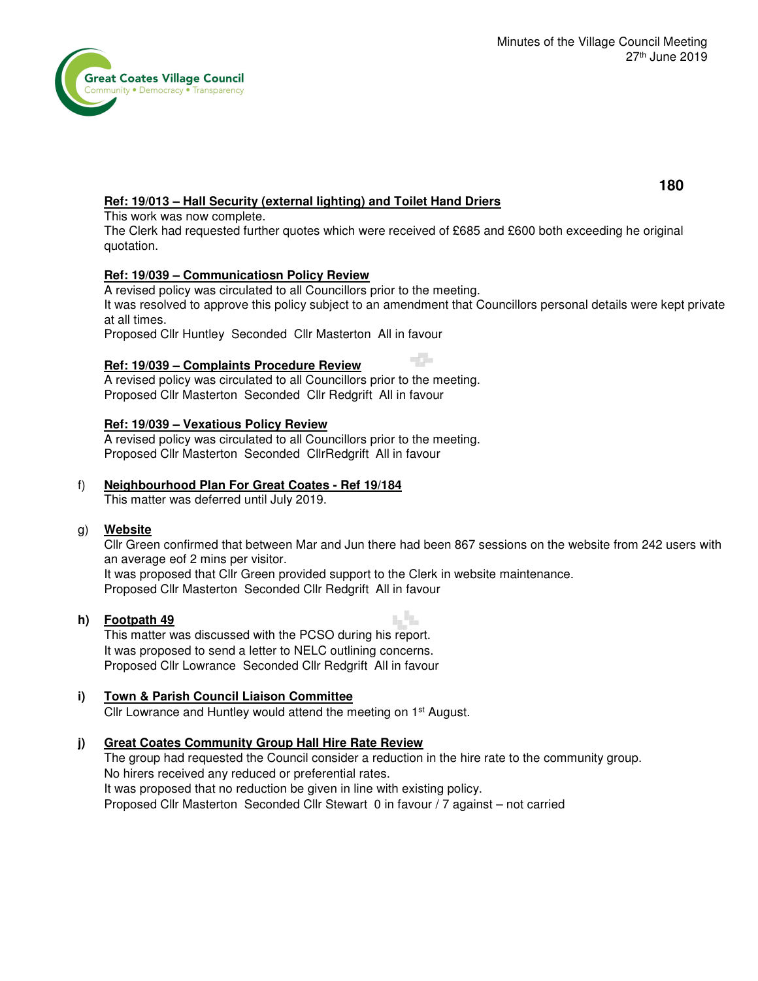

## **Ref: 19/013 – Hall Security (external lighting) and Toilet Hand Driers**

This work was now complete.

 The Clerk had requested further quotes which were received of £685 and £600 both exceeding he original quotation.

#### **Ref: 19/039 – Communicatiosn Policy Review**

A revised policy was circulated to all Councillors prior to the meeting.

 It was resolved to approve this policy subject to an amendment that Councillors personal details were kept private at all times.

Proposed Cllr Huntley Seconded Cllr Masterton All in favour

#### **Ref: 19/039 – Complaints Procedure Review**

 A revised policy was circulated to all Councillors prior to the meeting. Proposed Cllr Masterton Seconded Cllr Redgrift All in favour

#### **Ref: 19/039 – Vexatious Policy Review**

 A revised policy was circulated to all Councillors prior to the meeting. Proposed Cllr Masterton Seconded CllrRedgrift All in favour

#### f) **Neighbourhood Plan For Great Coates - Ref 19/184**

This matter was deferred until July 2019.

#### g) **Website**

Cllr Green confirmed that between Mar and Jun there had been 867 sessions on the website from 242 users with an average eof 2 mins per visitor.

a in

 It was proposed that Cllr Green provided support to the Clerk in website maintenance. Proposed Cllr Masterton Seconded Cllr Redgrift All in favour

#### **h) Footpath 49**

This matter was discussed with the PCSO during his report. It was proposed to send a letter to NELC outlining concerns. Proposed Cllr Lowrance Seconded Cllr Redgrift All in favour

#### **i) Town & Parish Council Liaison Committee**

Cllr Lowrance and Huntley would attend the meeting on 1<sup>st</sup> August.

#### **j) Great Coates Community Group Hall Hire Rate Review**

The group had requested the Council consider a reduction in the hire rate to the community group. No hirers received any reduced or preferential rates. It was proposed that no reduction be given in line with existing policy. Proposed Cllr Masterton Seconded Cllr Stewart 0 in favour / 7 against – not carried